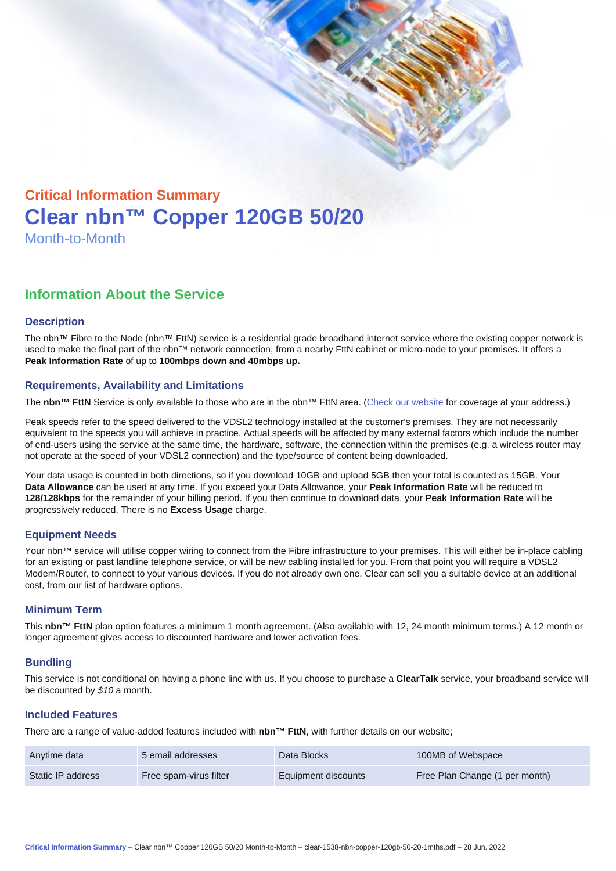# Critical Information Summary Clear nbn™ Copper 120GB 50/20 Month-to-Month

## Information About the Service

#### **Description**

The nbn™ Fibre to the Node (nbn™ FttN) service is a residential grade broadband internet service where the existing copper network is used to make the final part of the nbn™ network connection, from a nearby FttN cabinet or micro-node to your premises. It offers a Peak Information Rate of up to 100mbps down and 40mbps up.

#### Requirements, Availability and Limitations

The nbn™ FttN Service is only available to those who are in the nbn™ FttN area. ([Check our website](https://www.clear.com.au/residential/nbn-fixed/) for coverage at your address.)

Peak speeds refer to the speed delivered to the VDSL2 technology installed at the customer's premises. They are not necessarily equivalent to the speeds you will achieve in practice. Actual speeds will be affected by many external factors which include the number of end-users using the service at the same time, the hardware, software, the connection within the premises (e.g. a wireless router may not operate at the speed of your VDSL2 connection) and the type/source of content being downloaded.

Your data usage is counted in both directions, so if you download 10GB and upload 5GB then your total is counted as 15GB. Your Data Allowance can be used at any time. If you exceed your Data Allowance, your Peak Information Rate will be reduced to 128/128kbps for the remainder of your billing period. If you then continue to download data, your Peak Information Rate will be progressively reduced. There is no Excess Usage charge.

#### Equipment Needs

Your nbn™ service will utilise copper wiring to connect from the Fibre infrastructure to your premises. This will either be in-place cabling for an existing or past landline telephone service, or will be new cabling installed for you. From that point you will require a VDSL2 Modem/Router, to connect to your various devices. If you do not already own one, Clear can sell you a suitable device at an additional cost, from our list of hardware options.

#### Minimum Term

This nbn™ FttN plan option features a minimum 1 month agreement. (Also available with 12, 24 month minimum terms.) A 12 month or longer agreement gives access to discounted hardware and lower activation fees.

#### **Bundling**

This service is not conditional on having a phone line with us. If you choose to purchase a ClearTalk service, your broadband service will be discounted by \$10 a month.

#### Included Features

There are a range of value-added features included with nbn™ FttN , with further details on our website;

| Anytime data      | 5 email addresses      | Data Blocks         | 100MB of Webspace              |
|-------------------|------------------------|---------------------|--------------------------------|
| Static IP address | Free spam-virus filter | Equipment discounts | Free Plan Change (1 per month) |